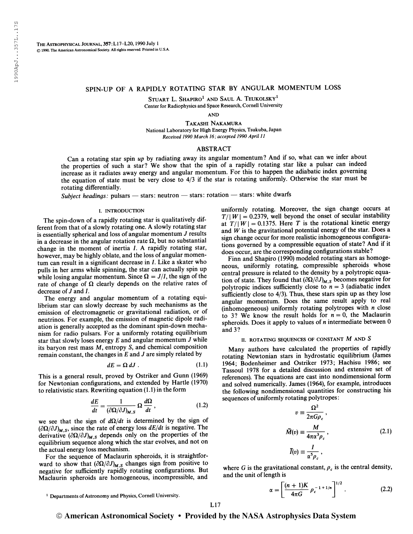# SPIN-UP OF A RAPIDLY ROTATING STAR BY ANGULAR MOMENTUM LOSS

Stuart L. Shapiro $^1$  and Saul A. Teukolsky $^1$ Center for Radiophysics and Space Research, Cornell University

AND

Takashi Nakamura National Laboratory for High Energy Physics, Tsukuba, Japan Received 1990 March 16; accepted 1990 April 11

### ABSTRACT

Can a rotating star spin up by radiating away its angular momentum? And if so, what can we infer about the properties of such a star? We show that the spin of a rapidly rotating star like a pulsar can indeed increase as it radiates away energy and angular momentum. For this to happen the adiabatic index governing the equation of state must be very close to 4/3 if the star is rotating uniformly. Otherwise the star must be rotating differentially.

Subject headings: pulsars — stars: neutron — stars: rotation — stars: white dwarfs

#### I. INTRODUCTION

The spin-down of a rapidly rotating star is qualitatively different from that of a slowly rotating one. A slowly rotating star is essentially spherical and loss of angular momentum  $J$  results in a decrease in the angular rotation rate  $\Omega$ , but no substantial change in the moment of inertia  $I$ . A rapidly rotating star, however, may be highly oblate, and the loss of angular momentum can result in a significant decrease in  $I$ . Like a skater who pulls in her arms while spinning, the star can actually spin up while losing angular momentum. Since  $\Omega = J/I$ , the sign of the rate of change of  $\Omega$  clearly depends on the relative rates of decrease of  $J$  and  $I$ .

The energy and angular momentum of a rotating equilibrium star can slowly decrease by such mechanisms as the emission of electromagnetic or gravitational radiation, or of neutrinos. For example, the emission of magnetic dipole radiation is generally accepted as the dominant spin-down mechanism for radio pulsars. For a uniformly rotating equilibrium star that slowly loses energy  $E$  and angular momentum  $J$  while its baryon rest mass M, entropy S, and chemical composition remain constant, the changes in  $E$  and  $J$  are simply related by

$$
dE = \Omega \, dJ \tag{1.1}
$$

This is a general result, proved by Ostriker and Gunn (1969) for Newtonian configurations, and extended by Hartle (1970) to relativistic stars. Rewriting equation (1.1) in the form

$$
\frac{dE}{dt} = \frac{1}{(\partial \Omega / \partial J)_{M,S}} \Omega \frac{d\Omega}{dt},
$$
\n(1.2)

we see that the sign of  $d\Omega/dt$  is determined by the sign of  $(\partial \Omega/\partial J)_{M, S}$ , since the rate of energy loss  $dE/dt$  is negative. The derivative  $(\partial \Omega/\partial J)_{M, S}$  depends only on the properties of the equilibrium sequence along which the star evolves, and not on the actual energy loss mechanism.

For the sequence of Maclaurin spheroids, it is straightforward to show that  $(\partial \Omega/\partial J)_{M,S}$  changes sign from positive to negative for sufficiently rapidly rotating configurations. But Maclaurin spheroids are homogeneous, incompressible, and uniformly rotating. Moreover, the sign change occurs at  $T/|W| = 0.2379$ , well beyond the onset of secular instability at  $T/\|W\|= 0.1375$ . Here T is the rotational kinetic energy and  $W$  is the gravitational potential energy of the star. Does a sign change occur for more realistic inhomogeneous configurations governed by a compressible equation of state? And if it does occur, are the corresponding configurations stable?

Finn and Shapiro (1990) modeled rotating stars as homogeneous, uniformly rotating, compressible spheroids whose central pressure is related to the density by a polytropic equation of state. They found that  $(\partial \Omega/\partial J)_{M,S}$  becomes negative for polytropic indices sufficiently close to  $n = 3$  (adiabatic index sufficiently close to 4/3). Thus, these stars spin up as they lose angular momentum. Does the same result apply to real (inhomogeneous) uniformly rotating polytropes with  $n$  close to 3? We know the result holds for  $n = 0$ , the Maclaurin spheroids. Does it apply to values of  $n$  intermediate between  $0$ and 3?

# II. ROTATING SEQUENCES OF CONSTANT  $M$  and  $S$

Many authors have calculated the properties of rapidly rotating Newtonian stars in hydrostatic equilibrium (James 1964; Bodenheimer and Ostriker 1973; Hachisu 1986; see Tassoul 1978 for a detailed discussion and extensive set of references). The equations are cast into nondimensional form and solved numerically. James (1964), for example, introduces the following nondimensional quantities for constructing his sequences of uniformly rotating polytropes:

$$
v = \frac{\Omega^2}{2\pi G \rho_c},
$$
  

$$
\widetilde{M}(v) = \frac{M}{4\pi \alpha^3 \rho_c},
$$
  

$$
\widetilde{I}(v) = \frac{I}{\alpha^5 \rho_c},
$$
 (2.1)

where G is the gravitational constant,  $\rho_c$  is the central density, and the unit of length is

$$
\alpha = \left[ \frac{(n+1)K}{4\pi G} \rho_c^{-1+1/n} \right]^{1/2} . \tag{2.2}
$$

L17

<sup>&</sup>lt;sup>1</sup> Departments of Astronomy and Physics, Cornell University.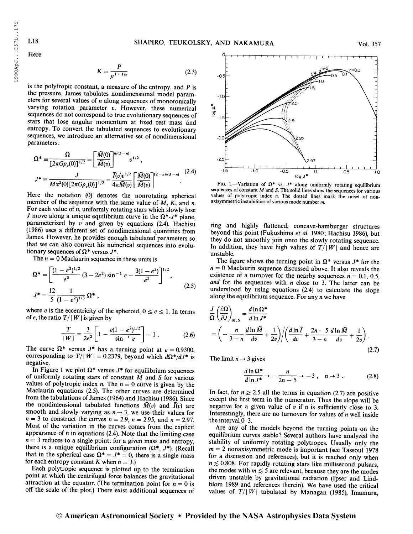1990ApJ...357L..17S

Here

$$
K = \frac{P}{\rho^{1+1/n}}
$$
 (2.3)

is the polytropic constant, a measure of the entropy, and  $P$  is the pressure. James tabulates nondimensional model parameters for several values of  $n$  along sequences of monotonically varying rotation parameter  $v$ . However, these numerical sequences do not correspond to true evolutionary sequences of stars that lose angular momentum at fixed rest mass and entropy. To convert the tabulated sequences to evolutionary sequences, we introduce an alternative set of nondimensional parameters:

$$
\Omega^* = \frac{\Omega}{[2\pi G \rho_c(0)]^{1/2}} = \left[\frac{\tilde{M}(0)}{\tilde{M}(v)}\right]^{n/(3-n)} v^{1/2},
$$
  

$$
J^* = \frac{J}{M\alpha^2(0)[2\pi G \rho_c(0)]^{1/2}} = \frac{\tilde{I}(v)v^{1/2}}{4\pi \tilde{M}(v)} \left[\frac{\tilde{M}(0)}{\tilde{M}(v)}\right]^{(2-n)/(3-n)}.
$$
 (2.4)

Here the notation (0) denotes the nonrotating spherical member of the sequence with the same value of  $M$ ,  $K$ , and  $n$ . For each value of  $n$ , uniformly rotating stars which slowly lose J move along a unique equilibrium curve in the  $\Omega^*$ -J\* plane, parameterized by  $v$  and given by equations (2.4). Hachisu (1986) uses a different set of nondimensional quantities from James. However, he provides enough tabulated parameters so that we can also convert his numerical sequences into evolutionary sequences of  $\Omega^*$  versus  $J^*$ .

The  $n = 0$  Maclaurin sequence in these units is

$$
\Omega^* = \left[ \frac{(1 - e^2)^{1/2}}{e^3} (3 - 2e^2) \sin^{-1} e - \frac{3(1 - e^2)}{e^2} \right]^{1/2},
$$
  

$$
J^* = \frac{12}{5} \frac{1}{(1 - e^2)^{1/3}} \Omega^*,
$$
 (2.5)

where *e* is the eccentricity of the spheroid,  $0 \le e \le 1$ . In terms of e, the ratio  $T/|W|$  is given by

$$
\frac{T}{|W|} = \frac{3}{2e^2} \left[ 1 - \frac{e(1 - e^2)^{1/2}}{\sin^{-1} e} \right] - 1 \,. \tag{2.6}
$$

The curve  $\Omega^*$  versus  $J^*$  has a turning point at  $e = 0.9300$ , corresponding to  $T/|W| = 0.2379$ , beyond which  $d\Omega^*/dJ^*$  is negative.

In Figure 1 we plot  $\Omega^*$  versus  $J^*$  for equilibrium sequences of uniformly rotating stars of constant  $M$  and  $S$  for various values of polytropic index *n*. The  $n = 0$  curve is given by the Maclaurin equations (2.5). The other curves are determined from the tabulations of James (1964) and Hachisu (1986). Since the nondimensional tabulated functions  $\tilde{M}(v)$  and  $\tilde{I}(v)$  are smooth and slowly varying as  $n \rightarrow 3$ , we use their values for  $n = 3$  to construct the curves  $n = 2.9$ ,  $n = 2.95$ , and  $n = 2.97$ . Most of the variation in the curves comes from the explicit appearance of  $n$  in equations (2.4). Note that the limiting case  $n = 3$  reduces to a single point: for a given mass and entropy, there is a unique equilibrium configuration  $(\Omega^*, J^*)$ . (Recall that in the spherical case  $\Omega^* = J^* = 0$ , there is a single mass for each entropy constant K when  $n = 3$ .)

Each polytropic sequence is plotted up to the termination point at which the centrifugal force balances the gravitational attraction at the equator. (The termination point for  $n = 0$  is off the scale of the plot.) There exist additional sequences of



FIG. 1.—Variation of  $\Omega^*$  vs.  $J^*$  along uniformly rotating equilibrium sequences of constant  $M$  and  $S$ . The solid lines show the sequences for various values of polytropic index  $n$ . The dotted lines mark the onset of nonaxisymmetric instabilities of various mode number m.

ring and highly flattened, concave-hamburger structures beyond this point (Fukushima et al. 1980; Hachisu 1986), but they do not smoothly join onto the slowly rotating sequence. In addition, they have high values of  $T/|W|$  and hence are unstable.

The figure shows the turning point in  $\Omega^*$  versus  $J^*$  for the  $n = 0$  Maclaurin sequence discussed above. It also reveals the existence of a turnover for the nearby sequences  $n = 0.1, 0.5$ , and for the sequences with  $n$  close to 3. The latter can be understood by using equations (2.4) to calculate the slope along the equilibrium sequence. For any  $n$  we have

$$
\frac{J}{\Omega} \left( \frac{\partial \Omega}{\partial J} \right)_{M,S} = \frac{d \ln \Omega^*}{d \ln J^*} \n= \left( -\frac{n}{3-n} \frac{d \ln \widetilde{M}}{dv} + \frac{1}{2v} \right) / \left( \frac{d \ln \widetilde{I}}{dv} + \frac{2n-5}{3-n} \frac{d \ln \widetilde{M}}{dv} + \frac{1}{2v} \right).
$$
\n(2.7)

The limit  $n \rightarrow 3$  gives

$$
\frac{d\ln\Omega^*}{d\ln J^*} \to -\frac{n}{2n-5} \to -3 \ , \quad n \to 3 \ . \tag{2.8}
$$

In fact, for  $n \ge 2.5$  all the terms in equation (2.7) are positive except the first term in the numerator. Thus the slope will be negative for a given value of  $v$  if  $n$  is sufficiently close to 3. Interestingly, there are no turnovers for values of  $n$  well inside the interval 0-3.

Are any of the models beyond the turning points on the equilibrium curves stable? Several authors have analyzed the stability of uniformly rotating polytropes. Usually only the  $m = 2$  nonaxisymmetric mode is important (see Tassoul 1978) for a discussion and references), but it is reached only when  $n \lesssim 0.808$ . For rapidly rotating stars like millisecond pulsars, the modes with  $m \lesssim 5$  are relevant, because they are the modes driven unstable by gravitational radiation (Ipser and Lindblom 1989 and references therein). We have used the critical values of  $T/\vert W\vert$  tabulated by Managan (1985), Imamura,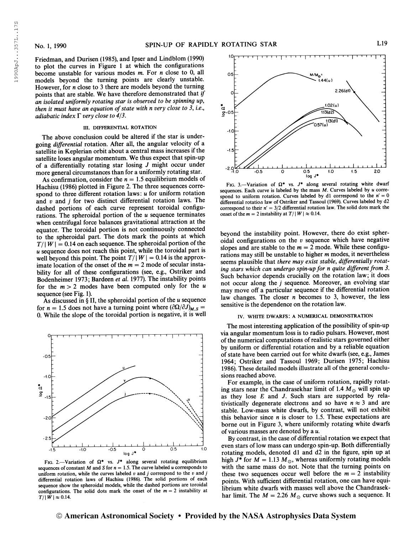19 90ApJ. . .357L. .173

1990ApJ...357L..17S

Friedman, and Durisen (1985), and Ipser and Lindblom (1990) to plot the curves in Figure <sup>1</sup> at which the configurations become unstable for various modes m. For n close to 0, all models beyond the turning points are clearly unstable. However, for n close to 3 there are models beyond the turning points that are stable. We have therefore demonstrated that if an isolated uniformly rotating star is observed to be spinning up, then it must have an equation of state with n very close to 3, i.e., adiabatic index  $\Gamma$  very close to 4/3.

#### III. DIFFERENTIAL ROTATION

The above conclusion could be altered if the star is undergoing *differential* rotation. After all, the angular velocity of a satellite in Keplerian orbit about a central mass increases if the satellite loses angular momentum. We thus expect that spin-up of a differentially rotating star losing J might occur under more general circumstances than for a uniformly rotating star.

As confirmation, consider the  $n = 1.5$  equilibrium models of Hachisu (1986) plotted in Figure 2. The three sequences correspond to three different rotation laws:  $u$  for uniform rotation and  $v$  and  $j$  for two distinct differential rotation laws. The dashed portions of each curve represent toroidal configurations. The spheroidal portion of the  $u$  sequence terminates when centrifugal force balances gravitational attraction at the equator. The toroidal portion is not continuously connected to the spheroidal part. The dots mark the points at which  $T/|W| = 0.14$  on each sequence. The spheroidal portion of the u sequence does not reach this point, while the toroidal part is well beyond this point. The point  $T/\|W\| = 0.14$  is the approximate location of the onset of the  $m = 2$  mode of secular instability for all of these configurations (see, e.g., Ostriker and Bodenheimer 1973; Bardeen et al. 1977). The instability points for the  $m > 2$  modes have been computed only for the u sequence (see Fig. 1).

As discussed in  $\S$  II, the spheroidal portion of the  $u$  sequence for  $n = 1.5$  does not have a turning point where  $(\partial \Omega / \partial J)_{M, S}$  = 0. While the slope of the toroidal portion is negative, it is well



FIG. 2.—Variation of  $\Omega^*$  vs.  $J^*$  along several rotating equilibrium sequences of constant M and S for  $n = 1.5$ . The curve labeled u corresponds to uniform rotation, while the curves labeled  $v$  and  $j$  correspond to the  $v$  and  $j$ differential rotation laws of Hachisu (1986). The solid portions of each sequence show the spheroidal models, while the dashed portions are toroidal configurations. The solid dots mark the onset of the  $m = 2$  instability at  $T/|\tilde{W}| \approx 0.14.$ 



FIG. 3.—Variation of  $\Omega^*$  vs.  $J^*$  along several rotating white dwarf sequences. Each curve is labeled by the mass  $M$ . Curves labeled by  $u$  correspond to uniform rotation. Curves labeled by d1 correspond to the  $n' = 0$ differential rotation law of Ostriker and Tassoul (1969). Curves labeled by d2 correspond to their  $n' = 3/2$  differential rotation law. The solid dots mark the onset of the  $m = 2$  instability at  $T/|W| \approx 0.14$ .

beyond the instability point. However, there do exist spheroidal configurations on the  $v$  sequence which have negative slopes and are stable to the  $m = 2$  mode. While these configurations may still be unstable to higher m modes, it nevertheless seems plausible that there may exist stable, differentially rotating stars which can undergo spin-up for  $n$  quite different from  $3$ . Such behavior depends crucially on the rotation law; it does not occur along the j sequence. Moreover, an evolving star may move off a particular sequence if the differential rotation law changes. The closer  $n$  becomes to 3, however, the less sensitive is the dependence on the rotation law.

#### iv. white dwarfs: a numerical demonstration

The most interesting application of the possibility of spin-up via angular momentum loss is to radio pulsars. However, most of the numerical computations ofrealistic stars governed either by uniform or differential rotation and by a reliable equation of state have been carried out for white dwarfs (see, e.g., James 1964; Ostriker and Tassoul 1969; Durisen 1975; Hachisu 1986). These detailed models illustrate all of the general conclusions reached above.

For example, in the case of uniform rotation, rapidly rotating stars near the Chandrasekhar limit of 1.4  $M_{\odot}$  will spin up as they lose  $E$  and  $J$ . Such stars are supported by relativistically degenerate electrons and so have  $n \approx 3$  and are stable. Low-mass white dwarfs, by contrast, will not exhibit this behavior since  $n$  is closer to 1.5. These expectations are borne out in Figure 3, where uniformly rotating white dwarfs of various masses are denoted by a u.

By contrast, in the case of differential rotation we expect that even stars of low mass can undergo spin-up. Both differentially rotating models, denoted dl and d2 in the figure, spin up at high  $J^*$  for  $M = 1.13 M_{\odot}$ , whereas uniformly rotating models with the same mass do not. Note that the turning points on these two sequences occur well before the  $m = 2$  instability points. With sufficient differential rotation, one can have equilibrium white dwarfs with masses well above the Chandrasekhar limit. The  $M = 2.26 M_{\odot}$  curve shows such a sequence. It